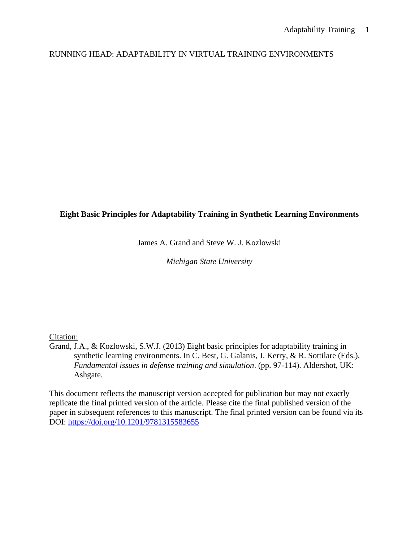# RUNNING HEAD: ADAPTABILITY IN VIRTUAL TRAINING ENVIRONMENTS

## **Eight Basic Principles for Adaptability Training in Synthetic Learning Environments**

James A. Grand and Steve W. J. Kozlowski

*Michigan State University*

## Citation:

Grand, J.A., & Kozlowski, S.W.J. (2013) Eight basic principles for adaptability training in synthetic learning environments. In C. Best, G. Galanis, J. Kerry, & R. Sottilare (Eds.), *Fundamental issues in defense training and simulation*. (pp. 97-114). Aldershot, UK: Ashgate.

This document reflects the manuscript version accepted for publication but may not exactly replicate the final printed version of the article. Please cite the final published version of the paper in subsequent references to this manuscript. The final printed version can be found via its DOI:<https://doi.org/10.1201/9781315583655>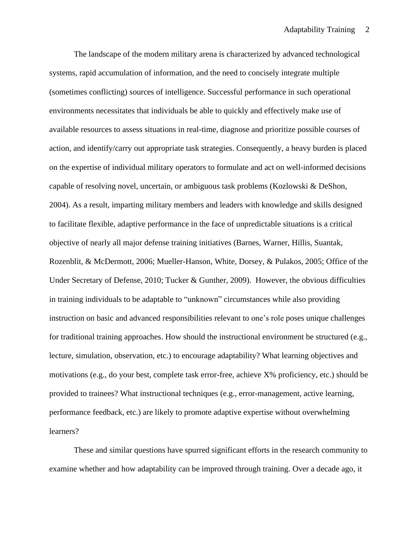The landscape of the modern military arena is characterized by advanced technological systems, rapid accumulation of information, and the need to concisely integrate multiple (sometimes conflicting) sources of intelligence. Successful performance in such operational environments necessitates that individuals be able to quickly and effectively make use of available resources to assess situations in real-time, diagnose and prioritize possible courses of action, and identify/carry out appropriate task strategies. Consequently, a heavy burden is placed on the expertise of individual military operators to formulate and act on well-informed decisions capable of resolving novel, uncertain, or ambiguous task problems (Kozlowski & DeShon, 2004). As a result, imparting military members and leaders with knowledge and skills designed to facilitate flexible, adaptive performance in the face of unpredictable situations is a critical objective of nearly all major defense training initiatives (Barnes, Warner, Hillis, Suantak, Rozenblit, & McDermott, 2006; Mueller-Hanson, White, Dorsey, & Pulakos, 2005; Office of the Under Secretary of Defense, 2010; Tucker & Gunther, 2009). However, the obvious difficulties in training individuals to be adaptable to "unknown" circumstances while also providing instruction on basic and advanced responsibilities relevant to one's role poses unique challenges for traditional training approaches. How should the instructional environment be structured (e.g., lecture, simulation, observation, etc.) to encourage adaptability? What learning objectives and motivations (e.g., do your best, complete task error-free, achieve X% proficiency, etc.) should be provided to trainees? What instructional techniques (e.g., error-management, active learning, performance feedback, etc.) are likely to promote adaptive expertise without overwhelming learners?

These and similar questions have spurred significant efforts in the research community to examine whether and how adaptability can be improved through training. Over a decade ago, it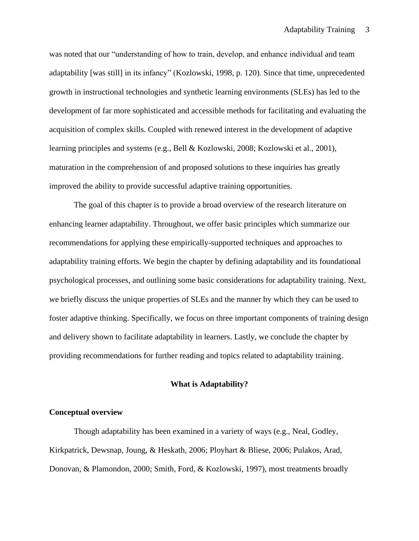was noted that our "understanding of how to train, develop, and enhance individual and team adaptability [was still] in its infancy" (Kozlowski, 1998, p. 120). Since that time, unprecedented growth in instructional technologies and synthetic learning environments (SLEs) has led to the development of far more sophisticated and accessible methods for facilitating and evaluating the acquisition of complex skills. Coupled with renewed interest in the development of adaptive learning principles and systems (e.g., Bell & Kozlowski, 2008; Kozlowski et al., 2001), maturation in the comprehension of and proposed solutions to these inquiries has greatly improved the ability to provide successful adaptive training opportunities.

The goal of this chapter is to provide a broad overview of the research literature on enhancing learner adaptability. Throughout, we offer basic principles which summarize our recommendations for applying these empirically-supported techniques and approaches to adaptability training efforts. We begin the chapter by defining adaptability and its foundational psychological processes, and outlining some basic considerations for adaptability training. Next, we briefly discuss the unique properties of SLEs and the manner by which they can be used to foster adaptive thinking. Specifically, we focus on three important components of training design and delivery shown to facilitate adaptability in learners. Lastly, we conclude the chapter by providing recommendations for further reading and topics related to adaptability training.

## **What is Adaptability?**

### **Conceptual overview**

Though adaptability has been examined in a variety of ways (e.g., Neal, Godley, Kirkpatrick, Dewsnap, Joung, & Heskath, 2006; Ployhart & Bliese, 2006; Pulakos, Arad, Donovan, & Plamondon, 2000; Smith, Ford, & Kozlowski, 1997), most treatments broadly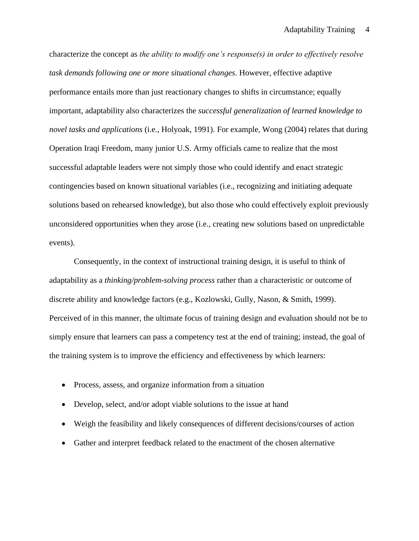characterize the concept as *the ability to modify one's response(s) in order to effectively resolve task demands following one or more situational changes*. However, effective adaptive performance entails more than just reactionary changes to shifts in circumstance; equally important, adaptability also characterizes the *successful generalization of learned knowledge to novel tasks and applications* (i.e., Holyoak, 1991). For example, Wong (2004) relates that during Operation Iraqi Freedom, many junior U.S. Army officials came to realize that the most successful adaptable leaders were not simply those who could identify and enact strategic contingencies based on known situational variables (i.e., recognizing and initiating adequate solutions based on rehearsed knowledge), but also those who could effectively exploit previously unconsidered opportunities when they arose (i.e., creating new solutions based on unpredictable events).

Consequently, in the context of instructional training design, it is useful to think of adaptability as a *thinking/problem-solving process* rather than a characteristic or outcome of discrete ability and knowledge factors (e.g., Kozlowski, Gully, Nason, & Smith, 1999). Perceived of in this manner, the ultimate focus of training design and evaluation should not be to simply ensure that learners can pass a competency test at the end of training; instead, the goal of the training system is to improve the efficiency and effectiveness by which learners:

- Process, assess, and organize information from a situation
- Develop, select, and/or adopt viable solutions to the issue at hand
- Weigh the feasibility and likely consequences of different decisions/courses of action
- Gather and interpret feedback related to the enactment of the chosen alternative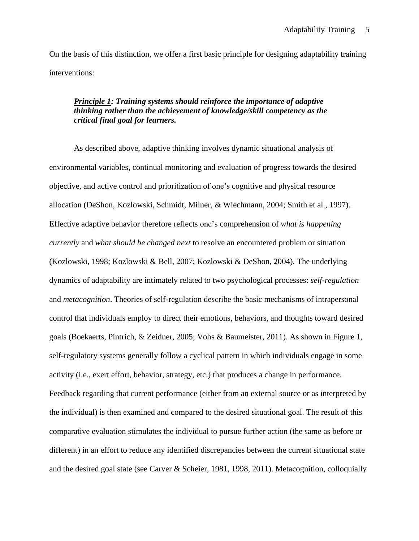On the basis of this distinction, we offer a first basic principle for designing adaptability training interventions:

# *Principle 1: Training systems should reinforce the importance of adaptive thinking rather than the achievement of knowledge/skill competency as the critical final goal for learners.*

As described above, adaptive thinking involves dynamic situational analysis of environmental variables, continual monitoring and evaluation of progress towards the desired objective, and active control and prioritization of one's cognitive and physical resource allocation (DeShon, Kozlowski, Schmidt, Milner, & Wiechmann, 2004; Smith et al., 1997). Effective adaptive behavior therefore reflects one's comprehension of *what is happening currently* and *what should be changed next* to resolve an encountered problem or situation (Kozlowski, 1998; Kozlowski & Bell, 2007; Kozlowski & DeShon, 2004). The underlying dynamics of adaptability are intimately related to two psychological processes: *self-regulation* and *metacognition*. Theories of self-regulation describe the basic mechanisms of intrapersonal control that individuals employ to direct their emotions, behaviors, and thoughts toward desired goals (Boekaerts, Pintrich, & Zeidner, 2005; Vohs & Baumeister, 2011). As shown in Figure 1, self-regulatory systems generally follow a cyclical pattern in which individuals engage in some activity (i.e., exert effort, behavior, strategy, etc.) that produces a change in performance. Feedback regarding that current performance (either from an external source or as interpreted by the individual) is then examined and compared to the desired situational goal. The result of this comparative evaluation stimulates the individual to pursue further action (the same as before or different) in an effort to reduce any identified discrepancies between the current situational state and the desired goal state (see Carver & Scheier, 1981, 1998, 2011). Metacognition, colloquially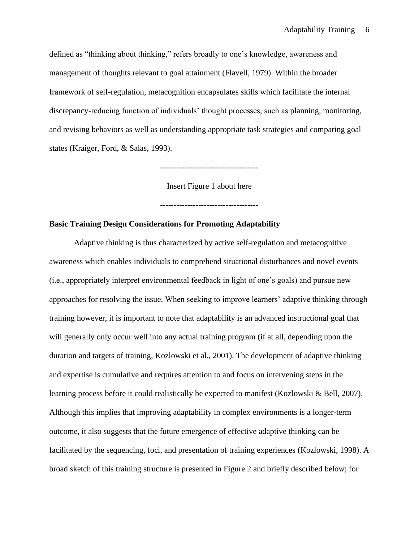defined as "thinking about thinking," refers broadly to one's knowledge, awareness and management of thoughts relevant to goal attainment (Flavell, 1979). Within the broader framework of self-regulation, metacognition encapsulates skills which facilitate the internal discrepancy-reducing function of individuals' thought processes, such as planning, monitoring, and revising behaviors as well as understanding appropriate task strategies and comparing goal states (Kraiger, Ford, & Salas, 1993).

------------------------------------

Insert Figure 1 about here

------------------------------------

## **Basic Training Design Considerations for Promoting Adaptability**

Adaptive thinking is thus characterized by active self-regulation and metacognitive awareness which enables individuals to comprehend situational disturbances and novel events (i.e., appropriately interpret environmental feedback in light of one's goals) and pursue new approaches for resolving the issue. When seeking to improve learners' adaptive thinking through training however, it is important to note that adaptability is an advanced instructional goal that will generally only occur well into any actual training program (if at all, depending upon the duration and targets of training, Kozlowski et al., 2001). The development of adaptive thinking and expertise is cumulative and requires attention to and focus on intervening steps in the learning process before it could realistically be expected to manifest (Kozlowski & Bell, 2007). Although this implies that improving adaptability in complex environments is a longer-term outcome, it also suggests that the future emergence of effective adaptive thinking can be facilitated by the sequencing, foci, and presentation of training experiences (Kozlowski, 1998). A broad sketch of this training structure is presented in Figure 2 and briefly described below; for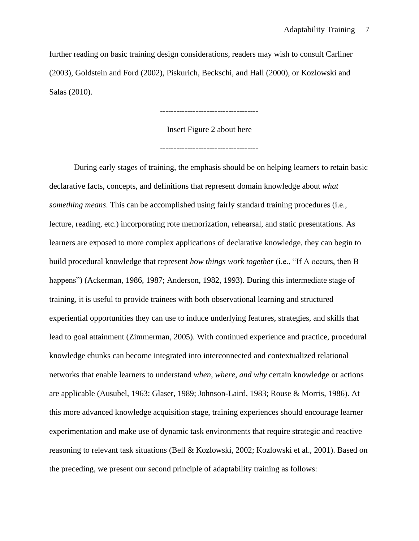further reading on basic training design considerations, readers may wish to consult Carliner (2003), Goldstein and Ford (2002), Piskurich, Beckschi, and Hall (2000), or Kozlowski and Salas (2010).

------------------------------------

Insert Figure 2 about here ------------------------------------

During early stages of training, the emphasis should be on helping learners to retain basic declarative facts, concepts, and definitions that represent domain knowledge about *what something means*. This can be accomplished using fairly standard training procedures (i.e., lecture, reading, etc.) incorporating rote memorization, rehearsal, and static presentations. As learners are exposed to more complex applications of declarative knowledge, they can begin to build procedural knowledge that represent *how things work together* (i.e., "If A occurs, then B happens") (Ackerman, 1986, 1987; Anderson, 1982, 1993). During this intermediate stage of training, it is useful to provide trainees with both observational learning and structured experiential opportunities they can use to induce underlying features, strategies, and skills that lead to goal attainment (Zimmerman, 2005). With continued experience and practice, procedural knowledge chunks can become integrated into interconnected and contextualized relational networks that enable learners to understand *when, where, and why* certain knowledge or actions are applicable (Ausubel, 1963; Glaser, 1989; Johnson-Laird, 1983; Rouse & Morris, 1986). At this more advanced knowledge acquisition stage, training experiences should encourage learner experimentation and make use of dynamic task environments that require strategic and reactive reasoning to relevant task situations (Bell & Kozlowski, 2002; Kozlowski et al., 2001). Based on the preceding, we present our second principle of adaptability training as follows: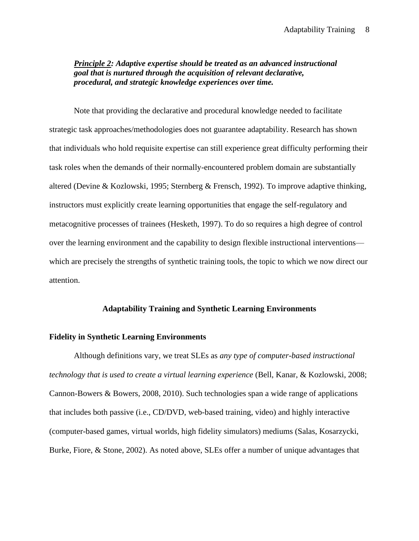## *Principle 2: Adaptive expertise should be treated as an advanced instructional goal that is nurtured through the acquisition of relevant declarative, procedural, and strategic knowledge experiences over time.*

Note that providing the declarative and procedural knowledge needed to facilitate strategic task approaches/methodologies does not guarantee adaptability. Research has shown that individuals who hold requisite expertise can still experience great difficulty performing their task roles when the demands of their normally-encountered problem domain are substantially altered (Devine & Kozlowski, 1995; Sternberg & Frensch, 1992). To improve adaptive thinking, instructors must explicitly create learning opportunities that engage the self-regulatory and metacognitive processes of trainees (Hesketh, 1997). To do so requires a high degree of control over the learning environment and the capability to design flexible instructional interventions which are precisely the strengths of synthetic training tools, the topic to which we now direct our attention.

#### **Adaptability Training and Synthetic Learning Environments**

### **Fidelity in Synthetic Learning Environments**

Although definitions vary, we treat SLEs as *any type of computer-based instructional technology that is used to create a virtual learning experience* (Bell, Kanar, & Kozlowski, 2008; Cannon-Bowers & Bowers, 2008, 2010). Such technologies span a wide range of applications that includes both passive (i.e., CD/DVD, web-based training, video) and highly interactive (computer-based games, virtual worlds, high fidelity simulators) mediums (Salas, Kosarzycki, Burke, Fiore, & Stone, 2002). As noted above, SLEs offer a number of unique advantages that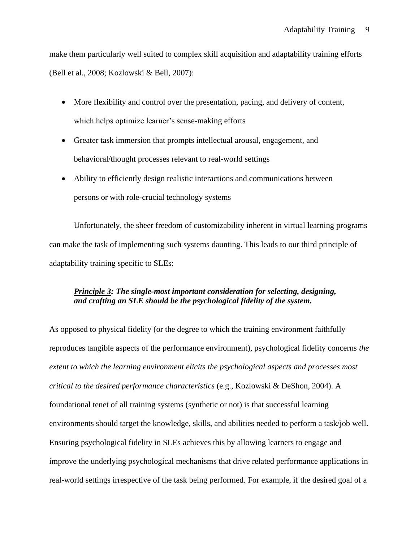make them particularly well suited to complex skill acquisition and adaptability training efforts (Bell et al., 2008; Kozlowski & Bell, 2007):

- More flexibility and control over the presentation, pacing, and delivery of content, which helps optimize learner's sense-making efforts
- Greater task immersion that prompts intellectual arousal, engagement, and behavioral/thought processes relevant to real-world settings
- Ability to efficiently design realistic interactions and communications between persons or with role-crucial technology systems

Unfortunately, the sheer freedom of customizability inherent in virtual learning programs can make the task of implementing such systems daunting. This leads to our third principle of adaptability training specific to SLEs:

# *Principle 3: The single-most important consideration for selecting, designing, and crafting an SLE should be the psychological fidelity of the system.*

As opposed to physical fidelity (or the degree to which the training environment faithfully reproduces tangible aspects of the performance environment), psychological fidelity concerns *the extent to which the learning environment elicits the psychological aspects and processes most critical to the desired performance characteristics* (e.g., Kozlowski & DeShon, 2004). A foundational tenet of all training systems (synthetic or not) is that successful learning environments should target the knowledge, skills, and abilities needed to perform a task/job well. Ensuring psychological fidelity in SLEs achieves this by allowing learners to engage and improve the underlying psychological mechanisms that drive related performance applications in real-world settings irrespective of the task being performed. For example, if the desired goal of a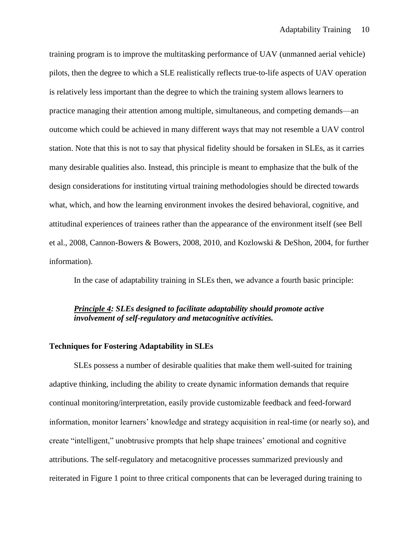training program is to improve the multitasking performance of UAV (unmanned aerial vehicle) pilots, then the degree to which a SLE realistically reflects true-to-life aspects of UAV operation is relatively less important than the degree to which the training system allows learners to practice managing their attention among multiple, simultaneous, and competing demands—an outcome which could be achieved in many different ways that may not resemble a UAV control station. Note that this is not to say that physical fidelity should be forsaken in SLEs, as it carries many desirable qualities also. Instead, this principle is meant to emphasize that the bulk of the design considerations for instituting virtual training methodologies should be directed towards what, which, and how the learning environment invokes the desired behavioral, cognitive, and attitudinal experiences of trainees rather than the appearance of the environment itself (see Bell et al., 2008, Cannon-Bowers & Bowers, 2008, 2010, and Kozlowski & DeShon, 2004, for further information).

In the case of adaptability training in SLEs then, we advance a fourth basic principle:

# *Principle 4: SLEs designed to facilitate adaptability should promote active involvement of self-regulatory and metacognitive activities.*

### **Techniques for Fostering Adaptability in SLEs**

SLEs possess a number of desirable qualities that make them well-suited for training adaptive thinking, including the ability to create dynamic information demands that require continual monitoring/interpretation, easily provide customizable feedback and feed-forward information, monitor learners' knowledge and strategy acquisition in real-time (or nearly so), and create "intelligent," unobtrusive prompts that help shape trainees' emotional and cognitive attributions. The self-regulatory and metacognitive processes summarized previously and reiterated in Figure 1 point to three critical components that can be leveraged during training to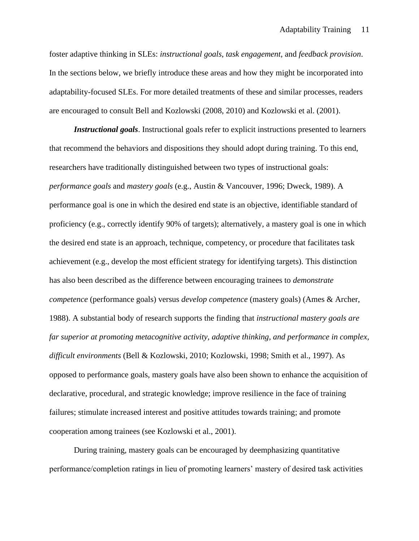foster adaptive thinking in SLEs: *instructional goals*, *task engagement*, and *feedback provision*. In the sections below, we briefly introduce these areas and how they might be incorporated into adaptability-focused SLEs. For more detailed treatments of these and similar processes, readers are encouraged to consult Bell and Kozlowski (2008, 2010) and Kozlowski et al. (2001).

*Instructional goals*. Instructional goals refer to explicit instructions presented to learners that recommend the behaviors and dispositions they should adopt during training. To this end, researchers have traditionally distinguished between two types of instructional goals: *performance goals* and *mastery goals* (e.g., Austin & Vancouver, 1996; Dweck, 1989). A performance goal is one in which the desired end state is an objective, identifiable standard of proficiency (e.g., correctly identify 90% of targets); alternatively, a mastery goal is one in which the desired end state is an approach, technique, competency, or procedure that facilitates task achievement (e.g., develop the most efficient strategy for identifying targets). This distinction has also been described as the difference between encouraging trainees to *demonstrate competence* (performance goals) versus *develop competence* (mastery goals) (Ames & Archer, 1988). A substantial body of research supports the finding that *instructional mastery goals are far superior at promoting metacognitive activity, adaptive thinking, and performance in complex, difficult environments* (Bell & Kozlowski, 2010; Kozlowski, 1998; Smith et al., 1997). As opposed to performance goals, mastery goals have also been shown to enhance the acquisition of declarative, procedural, and strategic knowledge; improve resilience in the face of training failures; stimulate increased interest and positive attitudes towards training; and promote cooperation among trainees (see Kozlowski et al., 2001).

During training, mastery goals can be encouraged by deemphasizing quantitative performance/completion ratings in lieu of promoting learners' mastery of desired task activities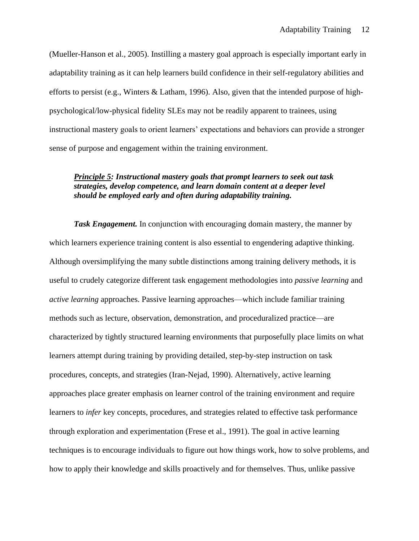(Mueller-Hanson et al., 2005). Instilling a mastery goal approach is especially important early in adaptability training as it can help learners build confidence in their self-regulatory abilities and efforts to persist (e.g., Winters & Latham, 1996). Also, given that the intended purpose of highpsychological/low-physical fidelity SLEs may not be readily apparent to trainees, using instructional mastery goals to orient learners' expectations and behaviors can provide a stronger sense of purpose and engagement within the training environment.

# *Principle 5: Instructional mastery goals that prompt learners to seek out task strategies, develop competence, and learn domain content at a deeper level should be employed early and often during adaptability training.*

**Task Engagement.** In conjunction with encouraging domain mastery, the manner by which learners experience training content is also essential to engendering adaptive thinking. Although oversimplifying the many subtle distinctions among training delivery methods, it is useful to crudely categorize different task engagement methodologies into *passive learning* and *active learning* approaches. Passive learning approaches—which include familiar training methods such as lecture, observation, demonstration, and proceduralized practice—are characterized by tightly structured learning environments that purposefully place limits on what learners attempt during training by providing detailed, step-by-step instruction on task procedures, concepts, and strategies (Iran-Nejad, 1990). Alternatively, active learning approaches place greater emphasis on learner control of the training environment and require learners to *infer* key concepts, procedures, and strategies related to effective task performance through exploration and experimentation (Frese et al., 1991). The goal in active learning techniques is to encourage individuals to figure out how things work, how to solve problems, and how to apply their knowledge and skills proactively and for themselves. Thus, unlike passive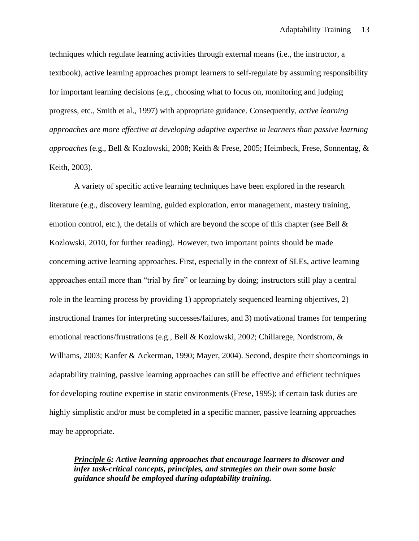techniques which regulate learning activities through external means (i.e., the instructor, a textbook), active learning approaches prompt learners to self-regulate by assuming responsibility for important learning decisions (e.g., choosing what to focus on, monitoring and judging progress, etc., Smith et al., 1997) with appropriate guidance. Consequently, *active learning approaches are more effective at developing adaptive expertise in learners than passive learning approaches* (e.g., Bell & Kozlowski, 2008; Keith & Frese, 2005; Heimbeck, Frese, Sonnentag, & Keith, 2003).

A variety of specific active learning techniques have been explored in the research literature (e.g., discovery learning, guided exploration, error management, mastery training, emotion control, etc.), the details of which are beyond the scope of this chapter (see Bell  $\&$ Kozlowski, 2010, for further reading). However, two important points should be made concerning active learning approaches. First, especially in the context of SLEs, active learning approaches entail more than "trial by fire" or learning by doing; instructors still play a central role in the learning process by providing 1) appropriately sequenced learning objectives, 2) instructional frames for interpreting successes/failures, and 3) motivational frames for tempering emotional reactions/frustrations (e.g., Bell & Kozlowski, 2002; Chillarege, Nordstrom, & Williams, 2003; Kanfer & Ackerman, 1990; Mayer, 2004). Second, despite their shortcomings in adaptability training, passive learning approaches can still be effective and efficient techniques for developing routine expertise in static environments (Frese, 1995); if certain task duties are highly simplistic and/or must be completed in a specific manner, passive learning approaches may be appropriate.

*Principle 6: Active learning approaches that encourage learners to discover and infer task-critical concepts, principles, and strategies on their own some basic guidance should be employed during adaptability training.*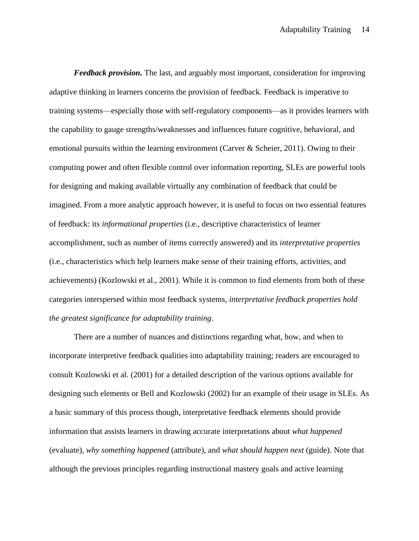*Feedback provision.* The last, and arguably most important, consideration for improving adaptive thinking in learners concerns the provision of feedback. Feedback is imperative to training systems—especially those with self-regulatory components—as it provides learners with the capability to gauge strengths/weaknesses and influences future cognitive, behavioral, and emotional pursuits within the learning environment (Carver & Scheier, 2011). Owing to their computing power and often flexible control over information reporting, SLEs are powerful tools for designing and making available virtually any combination of feedback that could be imagined. From a more analytic approach however, it is useful to focus on two essential features of feedback: its *informational properties* (i.e., descriptive characteristics of learner accomplishment, such as number of items correctly answered) and its *interpretative properties*  (i.e., characteristics which help learners make sense of their training efforts, activities, and achievements) (Kozlowski et al., 2001). While it is common to find elements from both of these categories interspersed within most feedback systems, *interpretative feedback properties hold the greatest significance for adaptability training*.

There are a number of nuances and distinctions regarding what, how, and when to incorporate interpretive feedback qualities into adaptability training; readers are encouraged to consult Kozlowski et al. (2001) for a detailed description of the various options available for designing such elements or Bell and Kozlowski (2002) for an example of their usage in SLEs. As a basic summary of this process though, interpretative feedback elements should provide information that assists learners in drawing accurate interpretations about *what happened* (evaluate), *why something happened* (attribute), and *what should happen next* (guide). Note that although the previous principles regarding instructional mastery goals and active learning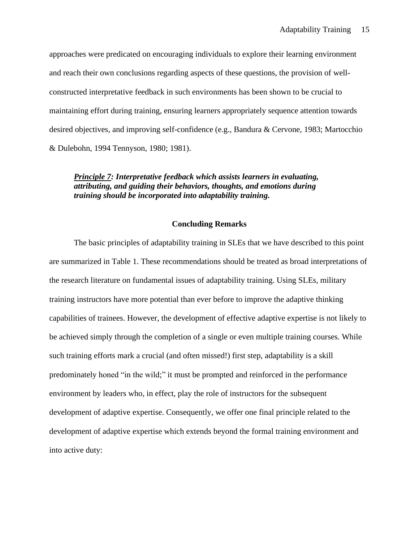approaches were predicated on encouraging individuals to explore their learning environment and reach their own conclusions regarding aspects of these questions, the provision of wellconstructed interpretative feedback in such environments has been shown to be crucial to maintaining effort during training, ensuring learners appropriately sequence attention towards desired objectives, and improving self-confidence (e.g., Bandura & Cervone, 1983; Martocchio & Dulebohn, 1994 Tennyson, 1980; 1981).

## *Principle 7: Interpretative feedback which assists learners in evaluating, attributing, and guiding their behaviors, thoughts, and emotions during training should be incorporated into adaptability training.*

### **Concluding Remarks**

The basic principles of adaptability training in SLEs that we have described to this point are summarized in Table 1. These recommendations should be treated as broad interpretations of the research literature on fundamental issues of adaptability training. Using SLEs, military training instructors have more potential than ever before to improve the adaptive thinking capabilities of trainees. However, the development of effective adaptive expertise is not likely to be achieved simply through the completion of a single or even multiple training courses. While such training efforts mark a crucial (and often missed!) first step, adaptability is a skill predominately honed "in the wild;" it must be prompted and reinforced in the performance environment by leaders who, in effect, play the role of instructors for the subsequent development of adaptive expertise. Consequently, we offer one final principle related to the development of adaptive expertise which extends beyond the formal training environment and into active duty: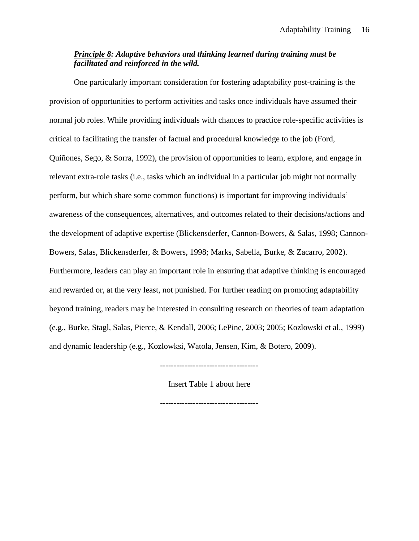# *Principle 8: Adaptive behaviors and thinking learned during training must be facilitated and reinforced in the wild.*

One particularly important consideration for fostering adaptability post-training is the provision of opportunities to perform activities and tasks once individuals have assumed their normal job roles. While providing individuals with chances to practice role-specific activities is critical to facilitating the transfer of factual and procedural knowledge to the job (Ford, Quiñones, Sego, & Sorra, 1992), the provision of opportunities to learn, explore, and engage in relevant extra-role tasks (i.e., tasks which an individual in a particular job might not normally perform, but which share some common functions) is important for improving individuals' awareness of the consequences, alternatives, and outcomes related to their decisions/actions and the development of adaptive expertise (Blickensderfer, Cannon-Bowers, & Salas, 1998; Cannon-Bowers, Salas, Blickensderfer, & Bowers, 1998; Marks, Sabella, Burke, & Zacarro, 2002). Furthermore, leaders can play an important role in ensuring that adaptive thinking is encouraged and rewarded or, at the very least, not punished. For further reading on promoting adaptability beyond training, readers may be interested in consulting research on theories of team adaptation (e.g., Burke, Stagl, Salas, Pierce, & Kendall, 2006; LePine, 2003; 2005; Kozlowski et al., 1999) and dynamic leadership (e.g., Kozlowksi, Watola, Jensen, Kim, & Botero, 2009).

------------------------------------

Insert Table 1 about here

------------------------------------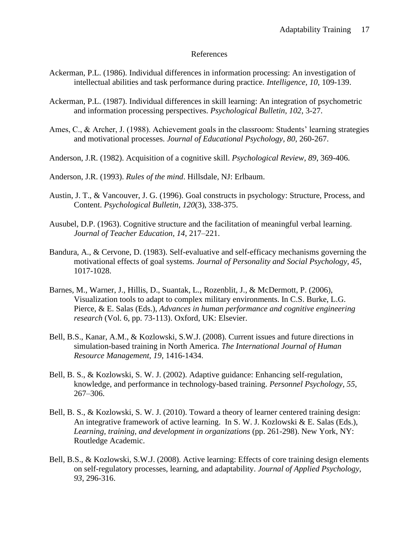## References

- Ackerman, P.L. (1986). Individual differences in information processing: An investigation of intellectual abilities and task performance during practice. *Intelligence, 10*, 109-139.
- Ackerman, P.L. (1987). Individual differences in skill learning: An integration of psychometric and information processing perspectives. *Psychological Bulletin, 102*, 3-27.
- Ames, C., & Archer, J. (1988). Achievement goals in the classroom: Students' learning strategies and motivational processes. *Journal of Educational Psychology, 80*, 260-267.
- Anderson, J.R. (1982). Acquisition of a cognitive skill. *Psychological Review, 89*, 369-406.
- Anderson, J.R. (1993). *Rules of the mind*. Hillsdale, NJ: Erlbaum.
- Austin, J. T., & Vancouver, J. G. (1996). Goal constructs in psychology: Structure, Process, and Content. *Psychological Bulletin, 120*(3), 338-375.
- Ausubel, D.P. (1963). Cognitive structure and the facilitation of meaningful verbal learning. *Journal of Teacher Education, 14*, 217–221.
- Bandura, A., & Cervone, D. (1983). Self-evaluative and self-efficacy mechanisms governing the motivational effects of goal systems. *Journal of Personality and Social Psychology, 45*, 1017-1028.
- Barnes, M., Warner, J., Hillis, D., Suantak, L., Rozenblit, J., & McDermott, P. (2006), Visualization tools to adapt to complex military environments. In C.S. Burke, L.G. Pierce, & E. Salas (Eds.), *Advances in human performance and cognitive engineering research* (Vol. 6, pp. 73-113). Oxford, UK: Elsevier.
- Bell, B.S., Kanar, A.M., & Kozlowski, S.W.J. (2008). Current issues and future directions in simulation-based training in North America. *The International Journal of Human Resource Management, 19*, 1416-1434.
- Bell, B. S., & Kozlowski, S. W. J. (2002). Adaptive guidance: Enhancing self-regulation, knowledge, and performance in technology-based training. *Personnel Psychology, 55*, 267–306.
- Bell, B. S., & Kozlowski, S. W. J. (2010). Toward a theory of learner centered training design: An integrative framework of active learning. In S. W. J. Kozlowski & E. Salas (Eds.), *Learning, training, and development in organizations* (pp. 261-298). New York, NY: Routledge Academic.
- Bell, B.S., & Kozlowski, S.W.J. (2008). Active learning: Effects of core training design elements on self-regulatory processes, learning, and adaptability. *Journal of Applied Psychology, 93*, 296-316.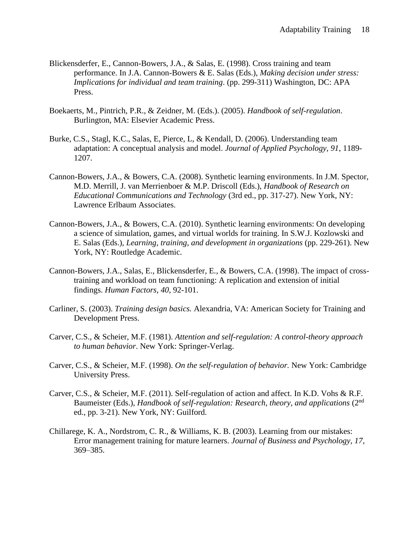- Blickensderfer, E., Cannon-Bowers, J.A., & Salas, E. (1998). Cross training and team performance. In J.A. Cannon-Bowers & E. Salas (Eds.), *Making decision under stress: Implications for individual and team training*. (pp. 299-311) Washington, DC: APA Press.
- Boekaerts, M., Pintrich, P.R., & Zeidner, M. (Eds.). (2005). *Handbook of self-regulation*. Burlington, MA: Elsevier Academic Press.
- Burke, C.S., Stagl, K.C., Salas, E, Pierce, L, & Kendall, D. (2006). Understanding team adaptation: A conceptual analysis and model. *Journal of Applied Psychology, 91*, 1189- 1207.
- Cannon-Bowers, J.A., & Bowers, C.A. (2008). Synthetic learning environments. In J.M. Spector, M.D. Merrill, J. van Merrienboer & M.P. Driscoll (Eds.), *Handbook of Research on Educational Communications and Technology* (3rd ed., pp. 317-27). New York, NY: Lawrence Erlbaum Associates.
- Cannon-Bowers, J.A., & Bowers, C.A. (2010). Synthetic learning environments: On developing a science of simulation, games, and virtual worlds for training. In S.W.J. Kozlowski and E. Salas (Eds.), *Learning, training, and development in organizations* (pp. 229-261). New York, NY: Routledge Academic.
- Cannon-Bowers, J.A., Salas, E., Blickensderfer, E., & Bowers, C.A. (1998). The impact of crosstraining and workload on team functioning: A replication and extension of initial findings. *Human Factors, 40*, 92-101.
- Carliner, S. (2003). *Training design basics.* Alexandria, VA: American Society for Training and Development Press.
- Carver, C.S., & Scheier, M.F. (1981). *Attention and self-regulation: A control-theory approach to human behavior*. New York: Springer-Verlag.
- Carver, C.S., & Scheier, M.F. (1998). *On the self-regulation of behavior.* New York: Cambridge University Press.
- Carver, C.S., & Scheier, M.F. (2011). Self-regulation of action and affect. In K.D. Vohs & R.F. Baumeister (Eds.), *Handbook of self-regulation: Research, theory, and applications* (2nd ed., pp. 3-21). New York, NY: Guilford.
- Chillarege, K. A., Nordstrom, C. R., & Williams, K. B. (2003). Learning from our mistakes: Error management training for mature learners. *Journal of Business and Psychology, 17*, 369–385.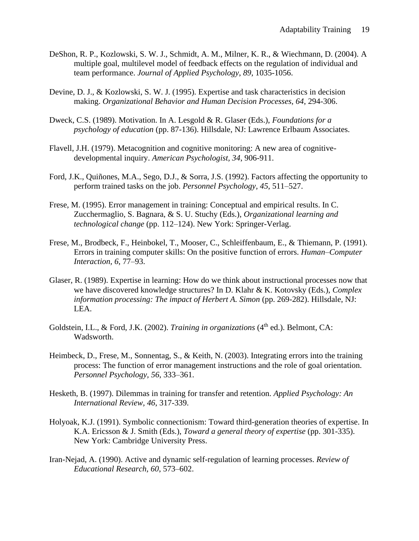- DeShon, R. P., Kozlowski, S. W. J., Schmidt, A. M., Milner, K. R., & Wiechmann, D. (2004). A multiple goal, multilevel model of feedback effects on the regulation of individual and team performance. *Journal of Applied Psychology*, *89*, 1035-1056.
- Devine, D. J., & Kozlowski, S. W. J. (1995). Expertise and task characteristics in decision making. *Organizational Behavior and Human Decision Processes, 64*, 294-306.
- Dweck, C.S. (1989). Motivation. In A. Lesgold & R. Glaser (Eds.), *Foundations for a psychology of education* (pp. 87-136). Hillsdale, NJ: Lawrence Erlbaum Associates.
- Flavell, J.H. (1979). Metacognition and cognitive monitoring: A new area of cognitivedevelopmental inquiry. *American Psychologist, 34*, 906-911.
- Ford, J.K., Quiñones, M.A., Sego, D.J., & Sorra, J.S. (1992). Factors affecting the opportunity to perform trained tasks on the job. *Personnel Psychology, 45*, 511–527.
- Frese, M. (1995). Error management in training: Conceptual and empirical results. In C. Zucchermaglio, S. Bagnara, & S. U. Stuchy (Eds.), *Organizational learning and technological change* (pp. 112–124). New York: Springer-Verlag.
- Frese, M., Brodbeck, F., Heinbokel, T., Mooser, C., Schleiffenbaum, E., & Thiemann, P. (1991). Errors in training computer skills: On the positive function of errors. *Human–Computer Interaction, 6*, 77–93.
- Glaser, R. (1989). Expertise in learning: How do we think about instructional processes now that we have discovered knowledge structures? In D. Klahr & K. Kotovsky (Eds.), *Complex information processing: The impact of Herbert A. Simon* (pp. 269-282). Hillsdale, NJ: LEA.
- Goldstein, I.L., & Ford, J.K. (2002). *Training in organizations* (4<sup>th</sup> ed.). Belmont, CA: Wadsworth.
- Heimbeck, D., Frese, M., Sonnentag, S., & Keith, N. (2003). Integrating errors into the training process: The function of error management instructions and the role of goal orientation. *Personnel Psychology, 56*, 333–361.
- Hesketh, B. (1997). Dilemmas in training for transfer and retention. *Applied Psychology: An International Review, 46*, 317-339.
- Holyoak, K.J. (1991). Symbolic connectionism: Toward third-generation theories of expertise. In K.A. Ericsson & J. Smith (Eds.), *Toward a general theory of expertise* (pp. 301-335). New York: Cambridge University Press.
- Iran-Nejad, A. (1990). Active and dynamic self-regulation of learning processes. *Review of Educational Research, 60*, 573–602.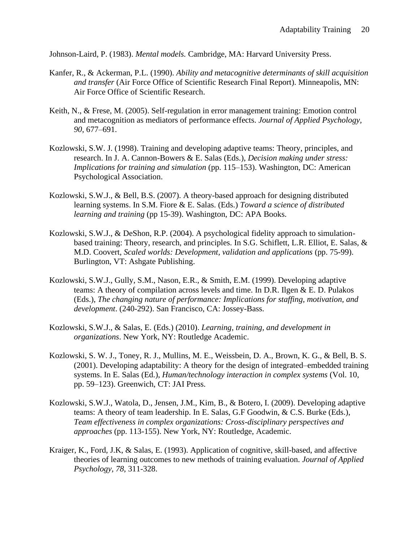Johnson-Laird, P. (1983). *Mental models.* Cambridge, MA: Harvard University Press.

- Kanfer, R., & Ackerman, P.L. (1990). *Ability and metacognitive determinants of skill acquisition and transfer* (Air Force Office of Scientific Research Final Report). Minneapolis, MN: Air Force Office of Scientific Research.
- Keith, N., & Frese, M. (2005). Self-regulation in error management training: Emotion control and metacognition as mediators of performance effects. *Journal of Applied Psychology, 90*, 677–691.
- Kozlowski, S.W. J. (1998). Training and developing adaptive teams: Theory, principles, and research. In J. A. Cannon-Bowers & E. Salas (Eds.), *Decision making under stress: Implications for training and simulation* (pp. 115–153). Washington, DC: American Psychological Association.
- Kozlowski, S.W.J., & Bell, B.S. (2007). A theory-based approach for designing distributed learning systems. In S.M. Fiore & E. Salas. (Eds.) *Toward a science of distributed learning and training* (pp 15-39). Washington, DC: APA Books.
- Kozlowski, S.W.J., & DeShon, R.P. (2004). A psychological fidelity approach to simulationbased training: Theory, research, and principles. In S.G. Schiflett, L.R. Elliot, E. Salas, & M.D. Coovert, *Scaled worlds: Development, validation and applications* (pp. 75-99). Burlington, VT: Ashgate Publishing.
- Kozlowski, S.W.J., Gully, S.M., Nason, E.R., & Smith, E.M. (1999). Developing adaptive teams: A theory of compilation across levels and time. In D.R. Ilgen & E. D. Pulakos (Eds.), *The changing nature of performance: Implications for staffing, motivation, and development*. (240-292). San Francisco, CA: Jossey-Bass.
- Kozlowski, S.W.J., & Salas, E. (Eds.) (2010). *Learning, training, and development in organizations*. New York, NY: Routledge Academic.
- Kozlowski, S. W. J., Toney, R. J., Mullins, M. E., Weissbein, D. A., Brown, K. G., & Bell, B. S. (2001). Developing adaptability: A theory for the design of integrated–embedded training systems. In E. Salas (Ed.), *Human/technology interaction in complex systems* (Vol. 10, pp. 59–123). Greenwich, CT: JAI Press.
- Kozlowski, S.W.J., Watola, D., Jensen, J.M., Kim, B., & Botero, I. (2009). Developing adaptive teams: A theory of team leadership. In E. Salas, G.F Goodwin, & C.S. Burke (Eds.), *Team effectiveness in complex organizations: Cross-disciplinary perspectives and approaches* (pp. 113-155). New York, NY: Routledge, Academic.
- Kraiger, K., Ford, J.K, & Salas, E. (1993). Application of cognitive, skill-based, and affective theories of learning outcomes to new methods of training evaluation. *Journal of Applied Psychology, 78*, 311-328.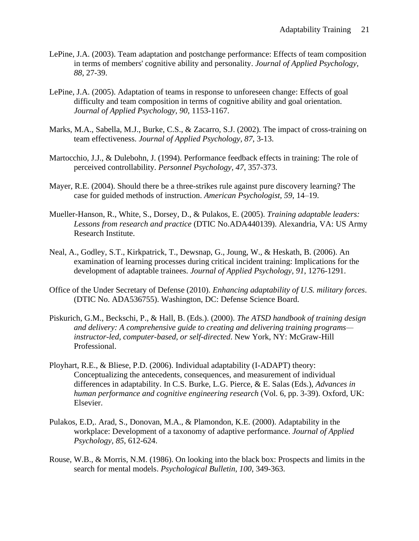- LePine, J.A. (2003). Team adaptation and postchange performance: Effects of team composition in terms of members' cognitive ability and personality. *Journal of Applied Psychology, 88*, 27-39.
- LePine, J.A. (2005). Adaptation of teams in response to unforeseen change: Effects of goal difficulty and team composition in terms of cognitive ability and goal orientation. *Journal of Applied Psychology, 90*, 1153-1167.
- Marks, M.A., Sabella, M.J., Burke, C.S., & Zacarro, S.J. (2002). The impact of cross-training on team effectiveness. *Journal of Applied Psychology, 87*, 3-13.
- Martocchio, J.J., & Dulebohn, J. (1994). Performance feedback effects in training: The role of perceived controllability. *Personnel Psychology, 47*, 357-373.
- Mayer, R.E. (2004). Should there be a three-strikes rule against pure discovery learning? The case for guided methods of instruction. *American Psychologist, 59*, 14–19.
- Mueller-Hanson, R., White, S., Dorsey, D., & Pulakos, E. (2005). *Training adaptable leaders: Lessons from research and practice* (DTIC No.ADA440139). Alexandria, VA: US Army Research Institute.
- Neal, A., Godley, S.T., Kirkpatrick, T., Dewsnap, G., Joung, W., & Heskath, B. (2006). An examination of learning processes during critical incident training: Implications for the development of adaptable trainees. *Journal of Applied Psychology, 91*, 1276-1291.
- Office of the Under Secretary of Defense (2010). *Enhancing adaptability of U.S. military forces*. (DTIC No. ADA536755). Washington, DC: Defense Science Board.
- Piskurich, G.M., Beckschi, P., & Hall, B. (Eds.). (2000). *The ATSD handbook of training design and delivery: A comprehensive guide to creating and delivering training programs instructor-led, computer-based, or self-directed*. New York, NY: McGraw-Hill Professional.
- Ployhart, R.E., & Bliese, P.D. (2006). Individual adaptability (I-ADAPT) theory: Conceptualizing the antecedents, consequences, and measurement of individual differences in adaptability. In C.S. Burke, L.G. Pierce, & E. Salas (Eds.), *Advances in human performance and cognitive engineering research* (Vol. 6, pp. 3-39). Oxford, UK: Elsevier.
- Pulakos, E.D,. Arad, S., Donovan, M.A., & Plamondon, K.E. (2000). Adaptability in the workplace: Development of a taxonomy of adaptive performance. *Journal of Applied Psychology, 85*, 612-624.
- Rouse, W.B., & Morris, N.M. (1986). On looking into the black box: Prospects and limits in the search for mental models. *Psychological Bulletin, 100*, 349-363.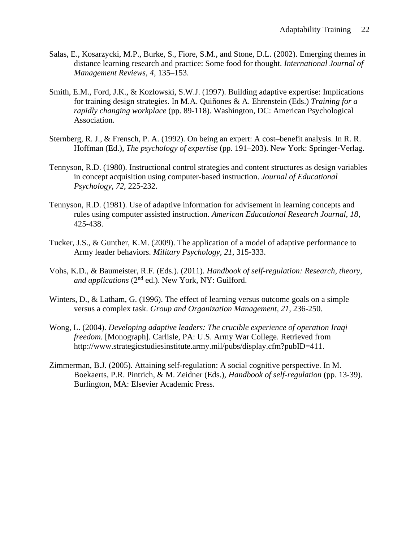- Salas, E., Kosarzycki, M.P., Burke, S., Fiore, S.M., and Stone, D.L. (2002). Emerging themes in distance learning research and practice: Some food for thought. *International Journal of Management Reviews, 4*, 135–153.
- Smith, E.M., Ford, J.K., & Kozlowski, S.W.J. (1997). Building adaptive expertise: Implications for training design strategies. In M.A. Quiñones & A. Ehrenstein (Eds.) *Training for a rapidly changing workplace* (pp. 89-118). Washington, DC: American Psychological Association.
- Sternberg, R. J., & Frensch, P. A. (1992). On being an expert: A cost–benefit analysis. In R. R. Hoffman (Ed.), *The psychology of expertise* (pp. 191–203). New York: Springer-Verlag.
- Tennyson, R.D. (1980). Instructional control strategies and content structures as design variables in concept acquisition using computer-based instruction. *Journal of Educational Psychology, 72*, 225-232.
- Tennyson, R.D. (1981). Use of adaptive information for advisement in learning concepts and rules using computer assisted instruction. *American Educational Research Journal, 18*, 425-438.
- Tucker, J.S., & Gunther, K.M. (2009). The application of a model of adaptive performance to Army leader behaviors. *Military Psychology, 21*, 315-333.
- Vohs, K.D., & Baumeister, R.F. (Eds.). (2011). *Handbook of self-regulation: Research, theory, and applications* (2nd ed.). New York, NY: Guilford.
- Winters, D., & Latham, G. (1996). The effect of learning versus outcome goals on a simple versus a complex task. *Group and Organization Management, 21*, 236-250.
- Wong, L. (2004). *Developing adaptive leaders: The crucible experience of operation Iraqi freedom.* [Monograph]. Carlisle, PA: U.S. Army War College. Retrieved from http://www.strategicstudiesinstitute.army.mil/pubs/display.cfm?pubID=411.
- Zimmerman, B.J. (2005). Attaining self-regulation: A social cognitive perspective. In M. Boekaerts, P.R. Pintrich, & M. Zeidner (Eds.), *Handbook of self-regulation* (pp. 13-39). Burlington, MA: Elsevier Academic Press.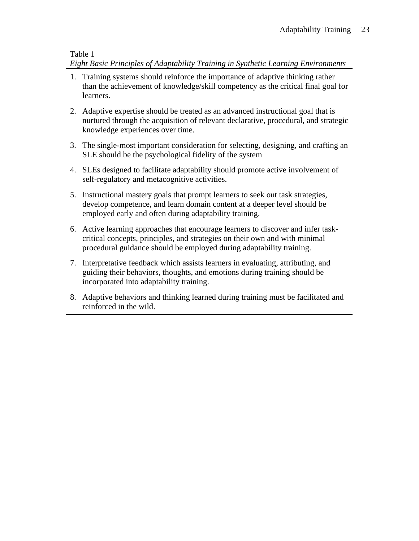## Table 1 *Eight Basic Principles of Adaptability Training in Synthetic Learning Environments*

- 1. Training systems should reinforce the importance of adaptive thinking rather than the achievement of knowledge/skill competency as the critical final goal for learners.
- 2. Adaptive expertise should be treated as an advanced instructional goal that is nurtured through the acquisition of relevant declarative, procedural, and strategic knowledge experiences over time.
- 3. The single-most important consideration for selecting, designing, and crafting an SLE should be the psychological fidelity of the system
- 4. SLEs designed to facilitate adaptability should promote active involvement of self-regulatory and metacognitive activities.
- 5. Instructional mastery goals that prompt learners to seek out task strategies, develop competence, and learn domain content at a deeper level should be employed early and often during adaptability training.
- 6. Active learning approaches that encourage learners to discover and infer taskcritical concepts, principles, and strategies on their own and with minimal procedural guidance should be employed during adaptability training.
- 7. Interpretative feedback which assists learners in evaluating, attributing, and guiding their behaviors, thoughts, and emotions during training should be incorporated into adaptability training.
- 8. Adaptive behaviors and thinking learned during training must be facilitated and reinforced in the wild.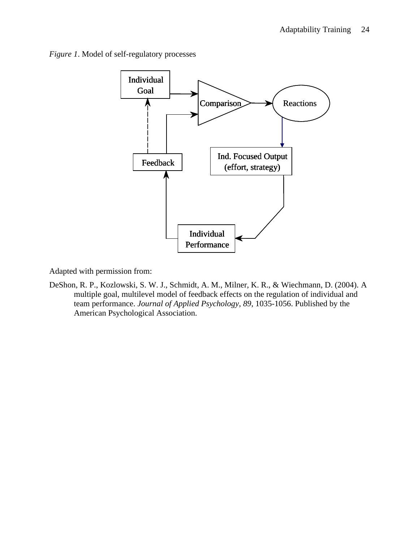*Figure 1*. Model of self-regulatory processes



Adapted with permission from:

DeShon, R. P., Kozlowski, S. W. J., Schmidt, A. M., Milner, K. R., & Wiechmann, D. (2004). A multiple goal, multilevel model of feedback effects on the regulation of individual and team performance. *Journal of Applied Psychology*, *89*, 1035-1056. Published by the American Psychological Association.